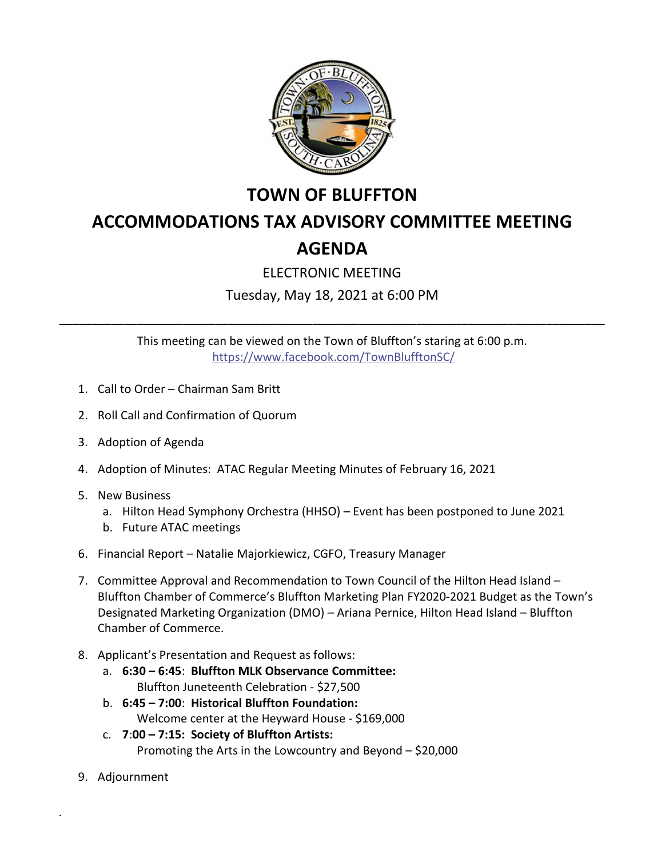

## **TOWN OF BLUFFTON**

## **ACCOMMODATIONS TAX ADVISORY COMMITTEE MEETING AGENDA**

## ELECTRONIC MEETING

Tuesday, May 18, 2021 at 6:00 PM

This meeting can be viewed on the Town of Bluffton's staring at 6:00 p.m. <https://www.facebook.com/TownBlufftonSC/>

**\_\_\_\_\_\_\_\_\_\_\_\_\_\_\_\_\_\_\_\_\_\_\_\_\_\_\_\_\_\_\_\_\_\_\_\_\_\_\_\_\_\_\_\_\_\_\_\_\_\_\_\_\_\_\_\_\_\_\_\_\_\_\_\_\_\_\_\_\_\_\_\_\_\_\_\_\_\_\_\_\_\_\_\_**

- 1. Call to Order Chairman Sam Britt
- 2. Roll Call and Confirmation of Quorum
- 3. Adoption of Agenda
- 4. Adoption of Minutes: ATAC Regular Meeting Minutes of February 16, 2021
- 5. New Business
	- a. Hilton Head Symphony Orchestra (HHSO) Event has been postponed to June 2021
	- b. Future ATAC meetings
- 6. Financial Report Natalie Majorkiewicz, CGFO, Treasury Manager
- 7. Committee Approval and Recommendation to Town Council of the Hilton Head Island Bluffton Chamber of Commerce's Bluffton Marketing Plan FY2020-2021 Budget as the Town's Designated Marketing Organization (DMO) – Ariana Pernice, Hilton Head Island – Bluffton Chamber of Commerce.
- 8. Applicant's Presentation and Request as follows:
	- a. **6:30 6:45**: **Bluffton MLK Observance Committee:**  Bluffton Juneteenth Celebration - \$27,500
	- b. **6:45 7:00**: **Historical Bluffton Foundation:** Welcome center at the Heyward House - \$169,000
	- c. **7**:**00 7:15: Society of Bluffton Artists:** Promoting the Arts in the Lowcountry and Beyond – \$20,000
- 9. Adjournment

.